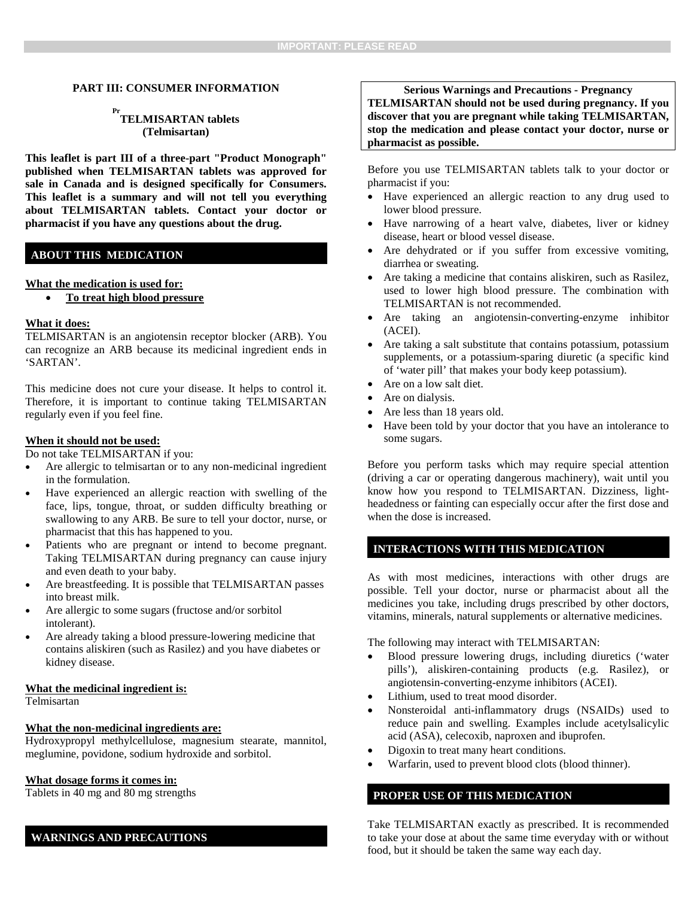### **PART III: CONSUMER INFORMATION**

# **Pr TELMISARTAN tablets (Telmisartan)**

**This leaflet is part III of a three-part "Product Monograph" published when TELMISARTAN tablets was approved for sale in Canada and is designed specifically for Consumers. This leaflet is a summary and will not tell you everything about TELMISARTAN tablets. Contact your doctor or pharmacist if you have any questions about the drug.** 

## **ABOUT THIS MEDICATION**

#### **What the medication is used for:**

• **To treat high blood pressure**

### **What it does:**

TELMISARTAN is an angiotensin receptor blocker (ARB). You can recognize an ARB because its medicinal ingredient ends in 'SARTAN'.

This medicine does not cure your disease. It helps to control it. Therefore, it is important to continue taking TELMISARTAN regularly even if you feel fine.

#### **When it should not be used:**

Do not take TELMISARTAN if you:

- Are allergic to telmisartan or to any non-medicinal ingredient in the formulation.
- Have experienced an allergic reaction with swelling of the face, lips, tongue, throat, or sudden difficulty breathing or swallowing to any ARB. Be sure to tell your doctor, nurse, or pharmacist that this has happened to you.
- Patients who are pregnant or intend to become pregnant. Taking TELMISARTAN during pregnancy can cause injury and even death to your baby.
- Are breastfeeding. It is possible that TELMISARTAN passes into breast milk.
- Are allergic to some sugars (fructose and/or sorbitol intolerant).
- Are already taking a blood pressure-lowering medicine that contains aliskiren (such as Rasilez) and you have diabetes or kidney disease.

### **What the medicinal ingredient is:**

Telmisartan

#### **What the non-medicinal ingredients are:**

Hydroxypropyl methylcellulose, magnesium stearate, mannitol, meglumine, povidone, sodium hydroxide and sorbitol.

### **What dosage forms it comes in:**

Tablets in 40 mg and 80 mg strengths

## **WARNINGS AND PRECAUTIONS**

**Serious Warnings and Precautions - Pregnancy**

**TELMISARTAN should not be used during pregnancy. If you discover that you are pregnant while taking TELMISARTAN, stop the medication and please contact your doctor, nurse or pharmacist as possible.**

Before you use TELMISARTAN tablets talk to your doctor or pharmacist if you:

- Have experienced an allergic reaction to any drug used to lower blood pressure.
- Have narrowing of a heart valve, diabetes, liver or kidney disease, heart or blood vessel disease.
- Are dehydrated or if you suffer from excessive vomiting, diarrhea or sweating.
- Are taking a medicine that contains aliskiren, such as Rasilez, used to lower high blood pressure. The combination with TELMISARTAN is not recommended.
- Are taking an angiotensin-converting-enzyme inhibitor (ACEI).
- Are taking a salt substitute that contains potassium, potassium supplements, or a potassium-sparing diuretic (a specific kind of 'water pill' that makes your body keep potassium).
- Are on a low salt diet.
- Are on dialysis.
- Are less than 18 years old.
- Have been told by your doctor that you have an intolerance to some sugars.

Before you perform tasks which may require special attention (driving a car or operating dangerous machinery), wait until you know how you respond to TELMISARTAN. Dizziness, lightheadedness or fainting can especially occur after the first dose and when the dose is increased.

### **INTERACTIONS WITH THIS MEDICATION**

As with most medicines, interactions with other drugs are possible. Tell your doctor, nurse or pharmacist about all the medicines you take, including drugs prescribed by other doctors, vitamins, minerals, natural supplements or alternative medicines.

The following may interact with TELMISARTAN:

- Blood pressure lowering drugs, including diuretics ('water pills'), aliskiren-containing products (e.g. Rasilez), or angiotensin-converting-enzyme inhibitors (ACEI).
- Lithium, used to treat mood disorder.
- Nonsteroidal anti-inflammatory drugs (NSAIDs) used to reduce pain and swelling. Examples include acetylsalicylic acid (ASA), celecoxib, naproxen and ibuprofen.
- Digoxin to treat many heart conditions.
- Warfarin, used to prevent blood clots (blood thinner).

## **PROPER USE OF THIS MEDICATION**

Take TELMISARTAN exactly as prescribed. It is recommended to take your dose at about the same time everyday with or without food, but it should be taken the same way each day.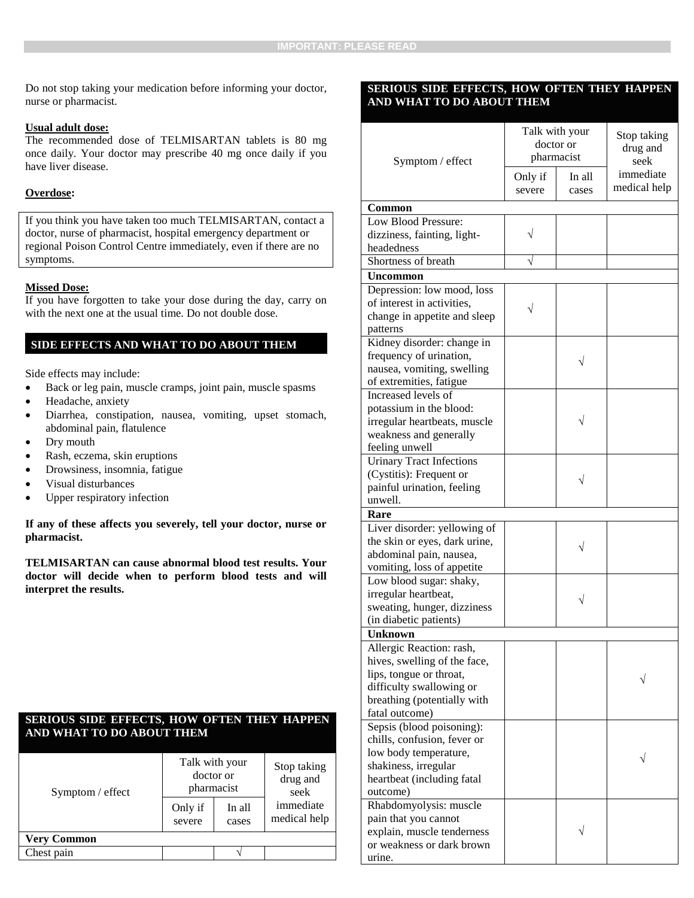Do not stop taking your medication before informing your doctor, nurse or pharmacist.

#### **Usual adult dose:**

The recommended dose of TELMISARTAN tablets is 80 mg once daily. Your doctor may prescribe 40 mg once daily if you have liver disease.

### **Overdose:**

If you think you have taken too much TELMISARTAN, contact a doctor, nurse of pharmacist, hospital emergency department or regional Poison Control Centre immediately, even if there are no symptoms.

### **Missed Dose:**

If you have forgotten to take your dose during the day, carry on with the next one at the usual time. Do not double dose.

# **SIDE EFFECTS AND WHAT TO DO ABOUT THEM**

Side effects may include:

- Back or leg pain, muscle cramps, joint pain, muscle spasms
- Headache, anxiety
- Diarrhea, constipation, nausea, vomiting, upset stomach, abdominal pain, flatulence
- Dry mouth
- Rash, eczema, skin eruptions
- Drowsiness, insomnia, fatigue
- Visual disturbances
- Upper respiratory infection

**If any of these affects you severely, tell your doctor, nurse or pharmacist.** 

**TELMISARTAN can cause abnormal blood test results. Your doctor will decide when to perform blood tests and will interpret the results.** 

### **SERIOUS SIDE EFFECTS, HOW OFTEN THEY HAPPEN AND WHAT TO DO ABOUT THEM**

| Symptom / effect   | Talk with your<br>doctor or<br>pharmacist |                 | Stop taking<br>drug and<br>seek |
|--------------------|-------------------------------------------|-----------------|---------------------------------|
|                    | Only if<br>severe                         | In all<br>cases | immediate<br>medical help       |
| <b>Very Common</b> |                                           |                 |                                 |
| Chest pain         |                                           |                 |                                 |

### **SERIOUS SIDE EFFECTS, HOW OFTEN THEY HAPPEN AND WHAT TO DO ABOUT THEM**

| Symptom / effect                                                                                                                                                 | Talk with your<br>doctor or<br>pharmacist |                 | Stop taking<br>drug and<br>seek |
|------------------------------------------------------------------------------------------------------------------------------------------------------------------|-------------------------------------------|-----------------|---------------------------------|
|                                                                                                                                                                  | Only if<br>severe                         | In all<br>cases | immediate<br>medical help       |
| Common                                                                                                                                                           |                                           |                 |                                 |
| Low Blood Pressure:<br>dizziness, fainting, light-<br>headedness                                                                                                 |                                           |                 |                                 |
| Shortness of breath                                                                                                                                              |                                           |                 |                                 |
|                                                                                                                                                                  |                                           |                 |                                 |
| <b>Uncommon</b>                                                                                                                                                  |                                           |                 |                                 |
| Depression: low mood, loss<br>of interest in activities,<br>change in appetite and sleep<br>patterns                                                             |                                           |                 |                                 |
| Kidney disorder: change in<br>frequency of urination,<br>nausea, vomiting, swelling                                                                              |                                           |                 |                                 |
| of extremities, fatigue                                                                                                                                          |                                           |                 |                                 |
| Increased levels of<br>potassium in the blood:<br>irregular heartbeats, muscle<br>weakness and generally                                                         |                                           |                 |                                 |
| feeling unwell                                                                                                                                                   |                                           |                 |                                 |
| <b>Urinary Tract Infections</b><br>(Cystitis): Frequent or<br>painful urination, feeling<br>unwell.                                                              |                                           |                 |                                 |
| Rare                                                                                                                                                             |                                           |                 |                                 |
| Liver disorder: yellowing of                                                                                                                                     |                                           |                 |                                 |
| the skin or eyes, dark urine,<br>abdominal pain, nausea,<br>vomiting, loss of appetite                                                                           |                                           |                 |                                 |
| Low blood sugar: shaky,<br>irregular heartbeat,<br>sweating, hunger, dizziness<br>(in diabetic patients)                                                         |                                           |                 |                                 |
| Unknown                                                                                                                                                          |                                           |                 |                                 |
| Allergic Reaction: rash,<br>hives, swelling of the face,<br>lips, tongue or throat,<br>difficulty swallowing or<br>breathing (potentially with<br>fatal outcome) |                                           |                 |                                 |
| Sepsis (blood poisoning):<br>chills, confusion, fever or<br>low body temperature,<br>shakiness, irregular<br>heartbeat (including fatal<br>outcome)              |                                           |                 |                                 |
| Rhabdomyolysis: muscle<br>pain that you cannot<br>explain, muscle tenderness<br>or weakness or dark brown<br>urine.                                              |                                           |                 |                                 |